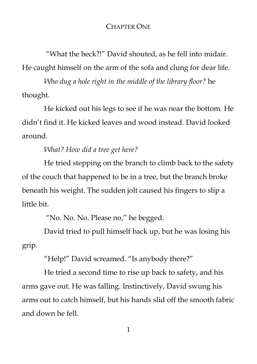## CHAPTER ONE

"What the heck?!" David shouted, as he fell into midair. He caught himself on the arm of the sofa and clung for dear life.

*Who dug a hole right in the middle of the library floor?* he thought.

He kicked out his legs to see if he was near the bottom. He didn't find it. He kicked leaves and wood instead. David looked around.

## *What? How did a tree get here?*

He tried stepping on the branch to climb back to the safety of the couch that happened to be in a tree, but the branch broke beneath his weight. The sudden jolt caused his fingers to slip a little bit.

"No. No. No. Please no," he begged.

David tried to pull himself back up, but he was losing his grip.

"Help!" David screamed. "Is anybody there?"

He tried a second time to rise up back to safety, and his arms gave out. He was falling. Instinctively, David swung his arms out to catch himself, but his hands slid off the smooth fabric and down he fell.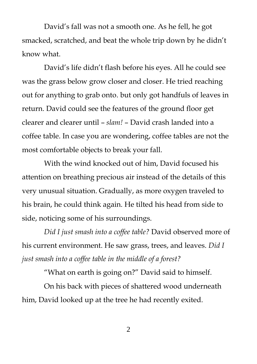David's fall was not a smooth one. As he fell, he got smacked, scratched, and beat the whole trip down by he didn't know what.

David's life didn't flash before his eyes. All he could see was the grass below grow closer and closer. He tried reaching out for anything to grab onto. but only got handfuls of leaves in return. David could see the features of the ground floor get clearer and clearer until – *slam!* – David crash landed into a coffee table. In case you are wondering, coffee tables are not the most comfortable objects to break your fall.

With the wind knocked out of him, David focused his attention on breathing precious air instead of the details of this very unusual situation. Gradually, as more oxygen traveled to his brain, he could think again. He tilted his head from side to side, noticing some of his surroundings.

*Did I just smash into a coffee table?* David observed more of his current environment. He saw grass, trees, and leaves. *Did I just smash into a coffee table in the middle of a forest?*

"What on earth is going on?" David said to himself.

On his back with pieces of shattered wood underneath him, David looked up at the tree he had recently exited.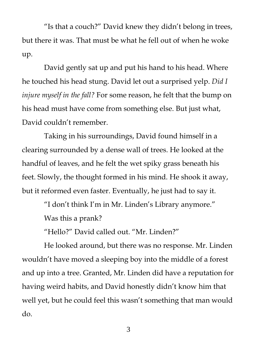"Is that a couch?" David knew they didn't belong in trees, but there it was. That must be what he fell out of when he woke up.

David gently sat up and put his hand to his head. Where he touched his head stung. David let out a surprised yelp. *Did I injure myself in the fall?* For some reason, he felt that the bump on his head must have come from something else. But just what, David couldn't remember.

Taking in his surroundings, David found himself in a clearing surrounded by a dense wall of trees. He looked at the handful of leaves, and he felt the wet spiky grass beneath his feet. Slowly, the thought formed in his mind. He shook it away, but it reformed even faster. Eventually, he just had to say it.

"I don't think I'm in Mr. Linden's Library anymore."

Was this a prank?

"Hello?" David called out. "Mr. Linden?"

He looked around, but there was no response. Mr. Linden wouldn't have moved a sleeping boy into the middle of a forest and up into a tree. Granted, Mr. Linden did have a reputation for having weird habits, and David honestly didn't know him that well yet, but he could feel this wasn't something that man would do.

3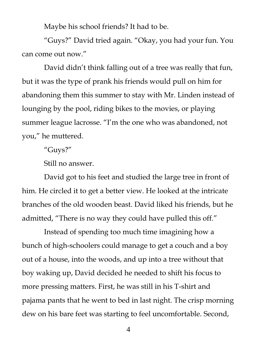Maybe his school friends? It had to be.

"Guys?" David tried again. "Okay, you had your fun. You can come out now."

David didn't think falling out of a tree was really that fun, but it was the type of prank his friends would pull on him for abandoning them this summer to stay with Mr. Linden instead of lounging by the pool, riding bikes to the movies, or playing summer league lacrosse. "I'm the one who was abandoned, not you," he muttered.

"Guys?"

Still no answer.

David got to his feet and studied the large tree in front of him. He circled it to get a better view. He looked at the intricate branches of the old wooden beast. David liked his friends, but he admitted, "There is no way they could have pulled this off."

Instead of spending too much time imagining how a bunch of high-schoolers could manage to get a couch and a boy out of a house, into the woods, and up into a tree without that boy waking up, David decided he needed to shift his focus to more pressing matters. First, he was still in his T-shirt and pajama pants that he went to bed in last night. The crisp morning dew on his bare feet was starting to feel uncomfortable. Second,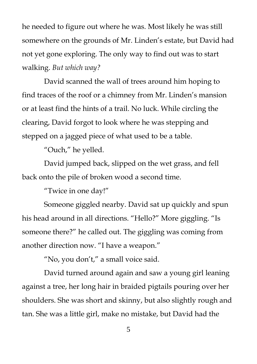he needed to figure out where he was. Most likely he was still somewhere on the grounds of Mr. Linden's estate, but David had not yet gone exploring. The only way to find out was to start walking. *But which way?*

David scanned the wall of trees around him hoping to find traces of the roof or a chimney from Mr. Linden's mansion or at least find the hints of a trail. No luck. While circling the clearing, David forgot to look where he was stepping and stepped on a jagged piece of what used to be a table.

"Ouch," he yelled.

David jumped back, slipped on the wet grass, and fell back onto the pile of broken wood a second time.

"Twice in one day!"

Someone giggled nearby. David sat up quickly and spun his head around in all directions. "Hello?" More giggling. "Is someone there?" he called out. The giggling was coming from another direction now. "I have a weapon."

"No, you don't," a small voice said.

David turned around again and saw a young girl leaning against a tree, her long hair in braided pigtails pouring over her shoulders. She was short and skinny, but also slightly rough and tan. She was a little girl, make no mistake, but David had the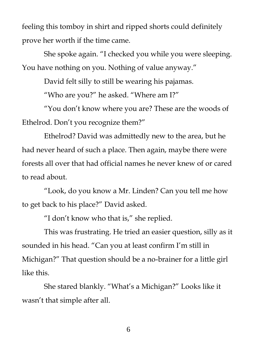feeling this tomboy in shirt and ripped shorts could definitely prove her worth if the time came.

She spoke again. "I checked you while you were sleeping. You have nothing on you. Nothing of value anyway."

David felt silly to still be wearing his pajamas.

"Who are you?" he asked. "Where am I?"

"You don't know where you are? These are the woods of Ethelrod. Don't you recognize them?"

Ethelrod? David was admittedly new to the area, but he had never heard of such a place. Then again, maybe there were forests all over that had official names he never knew of or cared to read about.

"Look, do you know a Mr. Linden? Can you tell me how to get back to his place?" David asked.

"I don't know who that is," she replied.

This was frustrating. He tried an easier question, silly as it sounded in his head. "Can you at least confirm I'm still in Michigan?" That question should be a no-brainer for a little girl like this.

She stared blankly. "What's a Michigan?" Looks like it wasn't that simple after all.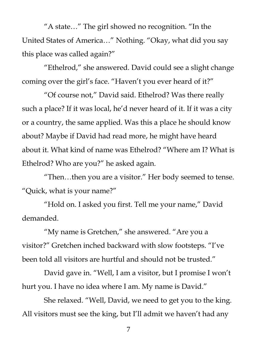"A state…" The girl showed no recognition. "In the United States of America…" Nothing. "Okay, what did you say this place was called again?"

"Ethelrod," she answered. David could see a slight change coming over the girl's face. "Haven't you ever heard of it?"

"Of course not," David said. Ethelrod? Was there really such a place? If it was local, he'd never heard of it. If it was a city or a country, the same applied. Was this a place he should know about? Maybe if David had read more, he might have heard about it. What kind of name was Ethelrod? "Where am I? What is Ethelrod? Who are you?" he asked again.

"Then…then you are a visitor." Her body seemed to tense. "Quick, what is your name?"

"Hold on. I asked you first. Tell me your name," David demanded.

"My name is Gretchen," she answered. "Are you a visitor?" Gretchen inched backward with slow footsteps. "I've been told all visitors are hurtful and should not be trusted."

David gave in. "Well, I am a visitor, but I promise I won't hurt you. I have no idea where I am. My name is David."

She relaxed. "Well, David, we need to get you to the king. All visitors must see the king, but I'll admit we haven't had any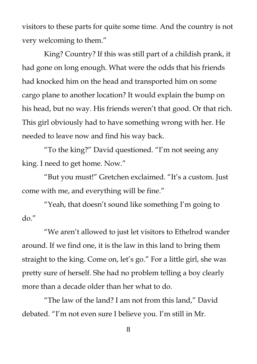visitors to these parts for quite some time. And the country is not very welcoming to them."

King? Country? If this was still part of a childish prank, it had gone on long enough. What were the odds that his friends had knocked him on the head and transported him on some cargo plane to another location? It would explain the bump on his head, but no way. His friends weren't that good. Or that rich. This girl obviously had to have something wrong with her. He needed to leave now and find his way back.

"To the king?" David questioned. "I'm not seeing any king. I need to get home. Now."

"But you must!" Gretchen exclaimed. "It's a custom. Just come with me, and everything will be fine."

"Yeah, that doesn't sound like something I'm going to do."

"We aren't allowed to just let visitors to Ethelrod wander around. If we find one, it is the law in this land to bring them straight to the king. Come on, let's go." For a little girl, she was pretty sure of herself. She had no problem telling a boy clearly more than a decade older than her what to do.

"The law of the land? I am not from this land," David debated. "I'm not even sure I believe you. I'm still in Mr.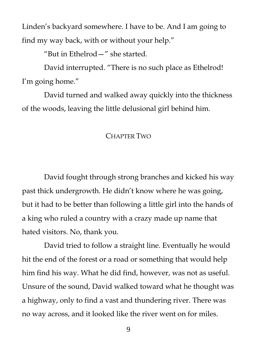Linden's backyard somewhere. I have to be. And I am going to find my way back, with or without your help."

"But in Ethelrod—" she started.

David interrupted. "There is no such place as Ethelrod! I'm going home."

David turned and walked away quickly into the thickness of the woods, leaving the little delusional girl behind him.

## CHAPTER TWO

David fought through strong branches and kicked his way past thick undergrowth. He didn't know where he was going, but it had to be better than following a little girl into the hands of a king who ruled a country with a crazy made up name that hated visitors. No, thank you.

David tried to follow a straight line. Eventually he would hit the end of the forest or a road or something that would help him find his way. What he did find, however, was not as useful. Unsure of the sound, David walked toward what he thought was a highway, only to find a vast and thundering river. There was no way across, and it looked like the river went on for miles.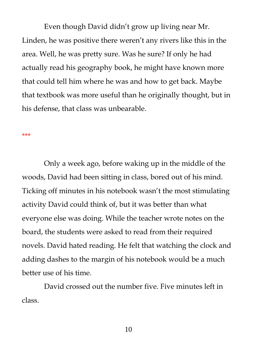Even though David didn't grow up living near Mr. Linden, he was positive there weren't any rivers like this in the area. Well, he was pretty sure. Was he sure? If only he had actually read his geography book, he might have known more that could tell him where he was and how to get back. Maybe that textbook was more useful than he originally thought, but in his defense, that class was unbearable.

\*\*\*

Only a week ago, before waking up in the middle of the woods, David had been sitting in class, bored out of his mind. Ticking off minutes in his notebook wasn't the most stimulating activity David could think of, but it was better than what everyone else was doing. While the teacher wrote notes on the board, the students were asked to read from their required novels. David hated reading. He felt that watching the clock and adding dashes to the margin of his notebook would be a much better use of his time.

David crossed out the number five. Five minutes left in class.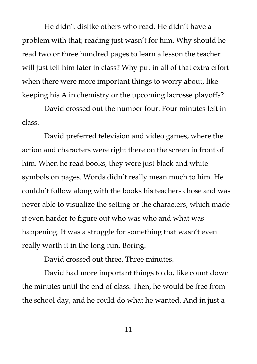He didn't dislike others who read. He didn't have a problem with that; reading just wasn't for him. Why should he read two or three hundred pages to learn a lesson the teacher will just tell him later in class? Why put in all of that extra effort when there were more important things to worry about, like keeping his A in chemistry or the upcoming lacrosse playoffs?

David crossed out the number four. Four minutes left in class.

David preferred television and video games, where the action and characters were right there on the screen in front of him. When he read books, they were just black and white symbols on pages. Words didn't really mean much to him. He couldn't follow along with the books his teachers chose and was never able to visualize the setting or the characters, which made it even harder to figure out who was who and what was happening. It was a struggle for something that wasn't even really worth it in the long run. Boring.

David crossed out three. Three minutes.

David had more important things to do, like count down the minutes until the end of class. Then, he would be free from the school day, and he could do what he wanted. And in just a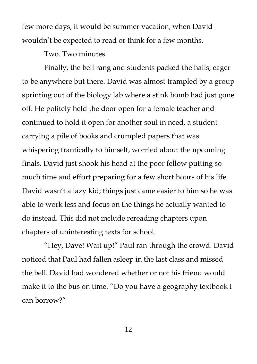few more days, it would be summer vacation, when David wouldn't be expected to read or think for a few months.

Two. Two minutes.

Finally, the bell rang and students packed the halls, eager to be anywhere but there. David was almost trampled by a group sprinting out of the biology lab where a stink bomb had just gone off. He politely held the door open for a female teacher and continued to hold it open for another soul in need, a student carrying a pile of books and crumpled papers that was whispering frantically to himself, worried about the upcoming finals. David just shook his head at the poor fellow putting so much time and effort preparing for a few short hours of his life. David wasn't a lazy kid; things just came easier to him so he was able to work less and focus on the things he actually wanted to do instead. This did not include rereading chapters upon chapters of uninteresting texts for school.

"Hey, Dave! Wait up!" Paul ran through the crowd. David noticed that Paul had fallen asleep in the last class and missed the bell. David had wondered whether or not his friend would make it to the bus on time. "Do you have a geography textbook I can borrow?"

12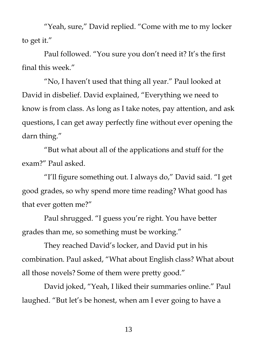"Yeah, sure," David replied. "Come with me to my locker to get it."

Paul followed. "You sure you don't need it? It's the first final this week."

"No, I haven't used that thing all year." Paul looked at David in disbelief. David explained, "Everything we need to know is from class. As long as I take notes, pay attention, and ask questions, I can get away perfectly fine without ever opening the darn thing."

"But what about all of the applications and stuff for the exam?" Paul asked.

"I'll figure something out. I always do," David said. "I get good grades, so why spend more time reading? What good has that ever gotten me?"

Paul shrugged. "I guess you're right. You have better grades than me, so something must be working."

They reached David's locker, and David put in his combination. Paul asked, "What about English class? What about all those novels? Some of them were pretty good."

David joked, "Yeah, I liked their summaries online." Paul laughed. "But let's be honest, when am I ever going to have a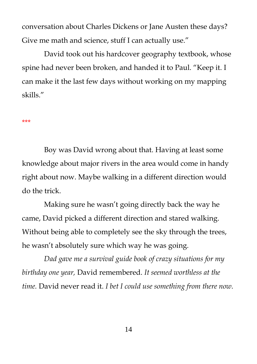conversation about Charles Dickens or Jane Austen these days? Give me math and science, stuff I can actually use."

David took out his hardcover geography textbook, whose spine had never been broken, and handed it to Paul. "Keep it. I can make it the last few days without working on my mapping skills."

#### \*\*\*

Boy was David wrong about that. Having at least some knowledge about major rivers in the area would come in handy right about now. Maybe walking in a different direction would do the trick.

Making sure he wasn't going directly back the way he came, David picked a different direction and stared walking. Without being able to completely see the sky through the trees, he wasn't absolutely sure which way he was going.

*Dad gave me a survival guide book of crazy situations for my birthday one year,* David remembered. *It seemed worthless at the time.* David never read it. *I bet I could use something from there now.*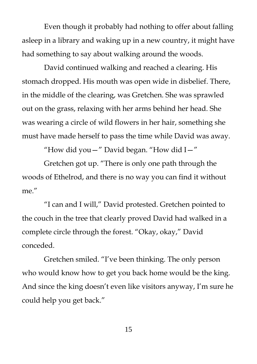Even though it probably had nothing to offer about falling asleep in a library and waking up in a new country, it might have had something to say about walking around the woods.

David continued walking and reached a clearing. His stomach dropped. His mouth was open wide in disbelief. There, in the middle of the clearing, was Gretchen. She was sprawled out on the grass, relaxing with her arms behind her head. She was wearing a circle of wild flowers in her hair, something she must have made herself to pass the time while David was away.

"How did you  $-$ " David began. "How did I $-$ "

Gretchen got up. "There is only one path through the woods of Ethelrod, and there is no way you can find it without me."

"I can and I will," David protested. Gretchen pointed to the couch in the tree that clearly proved David had walked in a complete circle through the forest. "Okay, okay," David conceded.

Gretchen smiled. "I've been thinking. The only person who would know how to get you back home would be the king. And since the king doesn't even like visitors anyway, I'm sure he could help you get back."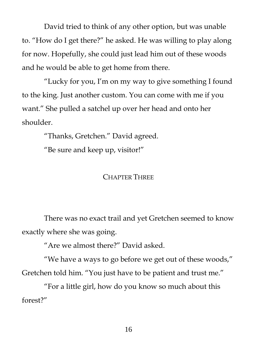David tried to think of any other option, but was unable to. "How do I get there?" he asked. He was willing to play along for now. Hopefully, she could just lead him out of these woods and he would be able to get home from there.

"Lucky for you, I'm on my way to give something I found to the king. Just another custom. You can come with me if you want." She pulled a satchel up over her head and onto her shoulder.

"Thanks, Gretchen." David agreed.

"Be sure and keep up, visitor!"

# CHAPTER THREE

There was no exact trail and yet Gretchen seemed to know exactly where she was going.

"Are we almost there?" David asked.

"We have a ways to go before we get out of these woods," Gretchen told him. "You just have to be patient and trust me."

"For a little girl, how do you know so much about this forest?"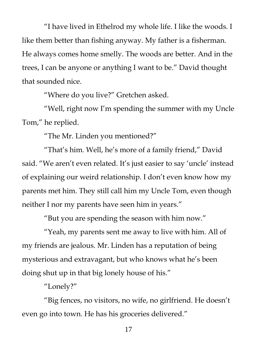"I have lived in Ethelrod my whole life. I like the woods. I like them better than fishing anyway. My father is a fisherman. He always comes home smelly. The woods are better. And in the trees, I can be anyone or anything I want to be." David thought that sounded nice.

"Where do you live?" Gretchen asked.

"Well, right now I'm spending the summer with my Uncle Tom," he replied.

"The Mr. Linden you mentioned?"

"That's him. Well, he's more of a family friend," David said. "We aren't even related. It's just easier to say 'uncle' instead of explaining our weird relationship. I don't even know how my parents met him. They still call him my Uncle Tom, even though neither I nor my parents have seen him in years."

"But you are spending the season with him now."

"Yeah, my parents sent me away to live with him. All of my friends are jealous. Mr. Linden has a reputation of being mysterious and extravagant, but who knows what he's been doing shut up in that big lonely house of his."

"Lonely?"

"Big fences, no visitors, no wife, no girlfriend. He doesn't even go into town. He has his groceries delivered."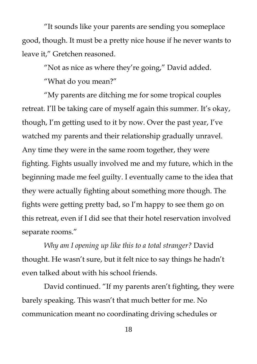"It sounds like your parents are sending you someplace good, though. It must be a pretty nice house if he never wants to leave it," Gretchen reasoned.

"Not as nice as where they're going," David added.

"What do you mean?"

"My parents are ditching me for some tropical couples retreat. I'll be taking care of myself again this summer. It's okay, though, I'm getting used to it by now. Over the past year, I've watched my parents and their relationship gradually unravel. Any time they were in the same room together, they were fighting. Fights usually involved me and my future, which in the beginning made me feel guilty. I eventually came to the idea that they were actually fighting about something more though. The fights were getting pretty bad, so I'm happy to see them go on this retreat, even if I did see that their hotel reservation involved separate rooms."

*Why am I opening up like this to a total stranger?* David thought. He wasn't sure, but it felt nice to say things he hadn't even talked about with his school friends.

David continued. "If my parents aren't fighting, they were barely speaking. This wasn't that much better for me. No communication meant no coordinating driving schedules or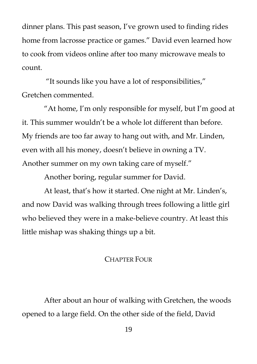dinner plans. This past season, I've grown used to finding rides home from lacrosse practice or games." David even learned how to cook from videos online after too many microwave meals to count.

"It sounds like you have a lot of responsibilities," Gretchen commented.

"At home, I'm only responsible for myself, but I'm good at it. This summer wouldn't be a whole lot different than before. My friends are too far away to hang out with, and Mr. Linden, even with all his money, doesn't believe in owning a TV. Another summer on my own taking care of myself."

Another boring, regular summer for David.

At least, that's how it started. One night at Mr. Linden's, and now David was walking through trees following a little girl who believed they were in a make-believe country. At least this little mishap was shaking things up a bit.

#### CHAPTER FOUR

After about an hour of walking with Gretchen, the woods opened to a large field. On the other side of the field, David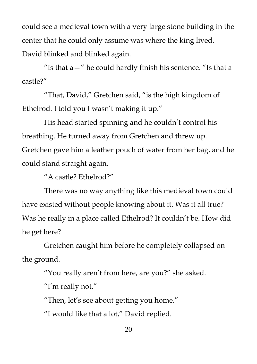could see a medieval town with a very large stone building in the center that he could only assume was where the king lived. David blinked and blinked again.

"Is that  $a -$ " he could hardly finish his sentence. "Is that a castle?"

"That, David," Gretchen said, "is the high kingdom of Ethelrod. I told you I wasn't making it up."

His head started spinning and he couldn't control his breathing. He turned away from Gretchen and threw up. Gretchen gave him a leather pouch of water from her bag, and he could stand straight again.

"A castle? Ethelrod?"

There was no way anything like this medieval town could have existed without people knowing about it. Was it all true? Was he really in a place called Ethelrod? It couldn't be. How did he get here?

Gretchen caught him before he completely collapsed on the ground.

"You really aren't from here, are you?" she asked.

"I'm really not."

"Then, let's see about getting you home."

"I would like that a lot," David replied.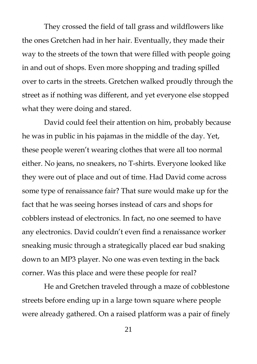They crossed the field of tall grass and wildflowers like the ones Gretchen had in her hair. Eventually, they made their way to the streets of the town that were filled with people going in and out of shops. Even more shopping and trading spilled over to carts in the streets. Gretchen walked proudly through the street as if nothing was different, and yet everyone else stopped what they were doing and stared.

David could feel their attention on him, probably because he was in public in his pajamas in the middle of the day. Yet, these people weren't wearing clothes that were all too normal either. No jeans, no sneakers, no T-shirts. Everyone looked like they were out of place and out of time. Had David come across some type of renaissance fair? That sure would make up for the fact that he was seeing horses instead of cars and shops for cobblers instead of electronics. In fact, no one seemed to have any electronics. David couldn't even find a renaissance worker sneaking music through a strategically placed ear bud snaking down to an MP3 player. No one was even texting in the back corner. Was this place and were these people for real?

He and Gretchen traveled through a maze of cobblestone streets before ending up in a large town square where people were already gathered. On a raised platform was a pair of finely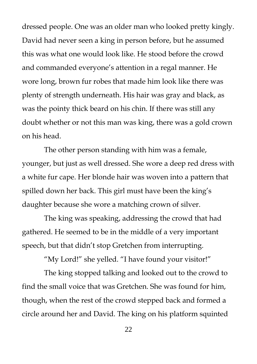dressed people. One was an older man who looked pretty kingly. David had never seen a king in person before, but he assumed this was what one would look like. He stood before the crowd and commanded everyone's attention in a regal manner. He wore long, brown fur robes that made him look like there was plenty of strength underneath. His hair was gray and black, as was the pointy thick beard on his chin. If there was still any doubt whether or not this man was king, there was a gold crown on his head.

The other person standing with him was a female, younger, but just as well dressed. She wore a deep red dress with a white fur cape. Her blonde hair was woven into a pattern that spilled down her back. This girl must have been the king's daughter because she wore a matching crown of silver.

The king was speaking, addressing the crowd that had gathered. He seemed to be in the middle of a very important speech, but that didn't stop Gretchen from interrupting.

"My Lord!" she yelled. "I have found your visitor!"

The king stopped talking and looked out to the crowd to find the small voice that was Gretchen. She was found for him, though, when the rest of the crowd stepped back and formed a circle around her and David. The king on his platform squinted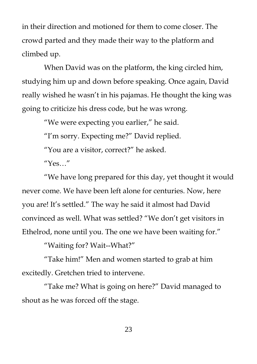in their direction and motioned for them to come closer. The crowd parted and they made their way to the platform and climbed up.

When David was on the platform, the king circled him, studying him up and down before speaking. Once again, David really wished he wasn't in his pajamas. He thought the king was going to criticize his dress code, but he was wrong.

"We were expecting you earlier," he said.

"I'm sorry. Expecting me?" David replied.

"You are a visitor, correct?" he asked.

"Yes…"

"We have long prepared for this day, yet thought it would never come. We have been left alone for centuries. Now, here you are! It's settled." The way he said it almost had David convinced as well. What was settled? "We don't get visitors in Ethelrod, none until you. The one we have been waiting for."

"Waiting for? Wait--What?"

"Take him!" Men and women started to grab at him excitedly. Gretchen tried to intervene.

"Take me? What is going on here?" David managed to shout as he was forced off the stage.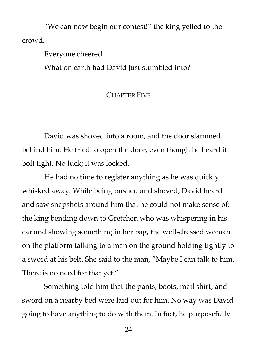"We can now begin our contest!" the king yelled to the crowd.

Everyone cheered.

What on earth had David just stumbled into?

## CHAPTER FIVE

David was shoved into a room, and the door slammed behind him. He tried to open the door, even though he heard it bolt tight. No luck; it was locked.

He had no time to register anything as he was quickly whisked away. While being pushed and shoved, David heard and saw snapshots around him that he could not make sense of: the king bending down to Gretchen who was whispering in his ear and showing something in her bag, the well-dressed woman on the platform talking to a man on the ground holding tightly to a sword at his belt. She said to the man, "Maybe I can talk to him. There is no need for that yet."

Something told him that the pants, boots, mail shirt, and sword on a nearby bed were laid out for him. No way was David going to have anything to do with them. In fact, he purposefully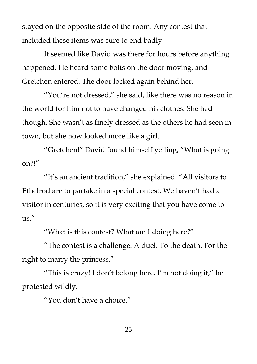stayed on the opposite side of the room. Any contest that included these items was sure to end badly.

It seemed like David was there for hours before anything happened. He heard some bolts on the door moving, and Gretchen entered. The door locked again behind her.

"You're not dressed," she said, like there was no reason in the world for him not to have changed his clothes. She had though. She wasn't as finely dressed as the others he had seen in town, but she now looked more like a girl.

"Gretchen!" David found himself yelling, "What is going on?!"

"It's an ancient tradition," she explained. "All visitors to Ethelrod are to partake in a special contest. We haven't had a visitor in centuries, so it is very exciting that you have come to us."

"What is this contest? What am I doing here?"

"The contest is a challenge. A duel. To the death. For the right to marry the princess."

"This is crazy! I don't belong here. I'm not doing it," he protested wildly.

"You don't have a choice."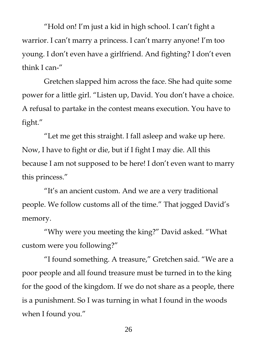"Hold on! I'm just a kid in high school. I can't fight a warrior. I can't marry a princess. I can't marry anyone! I'm too young. I don't even have a girlfriend. And fighting? I don't even think I can-"

Gretchen slapped him across the face. She had quite some power for a little girl. "Listen up, David. You don't have a choice. A refusal to partake in the contest means execution. You have to fight."

"Let me get this straight. I fall asleep and wake up here. Now, I have to fight or die, but if I fight I may die. All this because I am not supposed to be here! I don't even want to marry this princess."

"It's an ancient custom. And we are a very traditional people. We follow customs all of the time." That jogged David's memory.

"Why were you meeting the king?" David asked. "What custom were you following?"

"I found something. A treasure," Gretchen said. "We are a poor people and all found treasure must be turned in to the king for the good of the kingdom. If we do not share as a people, there is a punishment. So I was turning in what I found in the woods when I found you."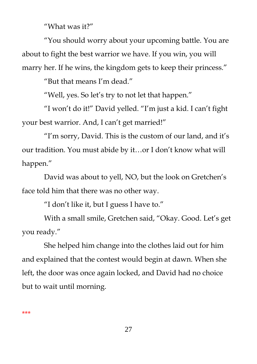"What was it?"

"You should worry about your upcoming battle. You are about to fight the best warrior we have. If you win, you will marry her. If he wins, the kingdom gets to keep their princess."

"But that means I'm dead."

"Well, yes. So let's try to not let that happen."

"I won't do it!" David yelled. "I'm just a kid. I can't fight your best warrior. And, I can't get married!"

"I'm sorry, David. This is the custom of our land, and it's our tradition. You must abide by it…or I don't know what will happen."

David was about to yell, NO, but the look on Gretchen's face told him that there was no other way.

"I don't like it, but I guess I have to."

With a small smile, Gretchen said, "Okay. Good. Let's get you ready."

She helped him change into the clothes laid out for him and explained that the contest would begin at dawn. When she left, the door was once again locked, and David had no choice but to wait until morning.

\*\*\*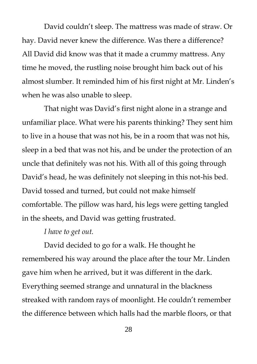David couldn't sleep. The mattress was made of straw. Or hay. David never knew the difference. Was there a difference? All David did know was that it made a crummy mattress. Any time he moved, the rustling noise brought him back out of his almost slumber. It reminded him of his first night at Mr. Linden's when he was also unable to sleep.

That night was David's first night alone in a strange and unfamiliar place. What were his parents thinking? They sent him to live in a house that was not his, be in a room that was not his, sleep in a bed that was not his, and be under the protection of an uncle that definitely was not his. With all of this going through David's head, he was definitely not sleeping in this not-his bed. David tossed and turned, but could not make himself comfortable. The pillow was hard, his legs were getting tangled in the sheets, and David was getting frustrated.

*I have to get out.*

David decided to go for a walk. He thought he remembered his way around the place after the tour Mr. Linden gave him when he arrived, but it was different in the dark. Everything seemed strange and unnatural in the blackness streaked with random rays of moonlight. He couldn't remember the difference between which halls had the marble floors, or that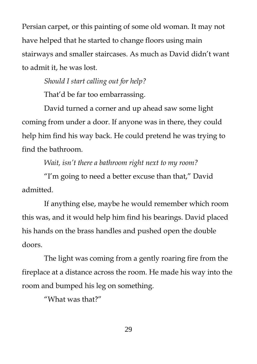Persian carpet, or this painting of some old woman. It may not have helped that he started to change floors using main stairways and smaller staircases. As much as David didn't want to admit it, he was lost.

*Should I start calling out for help?*

That'd be far too embarrassing.

David turned a corner and up ahead saw some light coming from under a door. If anyone was in there, they could help him find his way back. He could pretend he was trying to find the bathroom.

*Wait, isn't there a bathroom right next to my room?* 

"I'm going to need a better excuse than that," David admitted.

If anything else, maybe he would remember which room this was, and it would help him find his bearings. David placed his hands on the brass handles and pushed open the double doors.

The light was coming from a gently roaring fire from the fireplace at a distance across the room. He made his way into the room and bumped his leg on something.

"What was that?"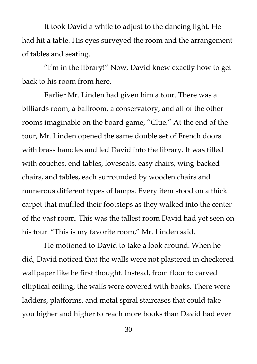It took David a while to adjust to the dancing light. He had hit a table. His eyes surveyed the room and the arrangement of tables and seating.

"I'm in the library!" Now, David knew exactly how to get back to his room from here.

Earlier Mr. Linden had given him a tour. There was a billiards room, a ballroom, a conservatory, and all of the other rooms imaginable on the board game, "Clue." At the end of the tour, Mr. Linden opened the same double set of French doors with brass handles and led David into the library. It was filled with couches, end tables, loveseats, easy chairs, wing-backed chairs, and tables, each surrounded by wooden chairs and numerous different types of lamps. Every item stood on a thick carpet that muffled their footsteps as they walked into the center of the vast room. This was the tallest room David had yet seen on his tour. "This is my favorite room," Mr. Linden said.

He motioned to David to take a look around. When he did, David noticed that the walls were not plastered in checkered wallpaper like he first thought. Instead, from floor to carved elliptical ceiling, the walls were covered with books. There were ladders, platforms, and metal spiral staircases that could take you higher and higher to reach more books than David had ever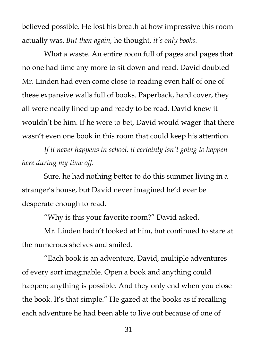believed possible. He lost his breath at how impressive this room actually was. *But then again,* he thought, *it's only books.*

What a waste. An entire room full of pages and pages that no one had time any more to sit down and read. David doubted Mr. Linden had even come close to reading even half of one of these expansive walls full of books. Paperback, hard cover, they all were neatly lined up and ready to be read. David knew it wouldn't be him. If he were to bet, David would wager that there wasn't even one book in this room that could keep his attention.

*If it never happens in school, it certainly isn't going to happen here during my time off.* 

Sure, he had nothing better to do this summer living in a stranger's house, but David never imagined he'd ever be desperate enough to read.

"Why is this your favorite room?" David asked.

Mr. Linden hadn't looked at him, but continued to stare at the numerous shelves and smiled.

"Each book is an adventure, David, multiple adventures of every sort imaginable. Open a book and anything could happen; anything is possible. And they only end when you close the book. It's that simple." He gazed at the books as if recalling each adventure he had been able to live out because of one of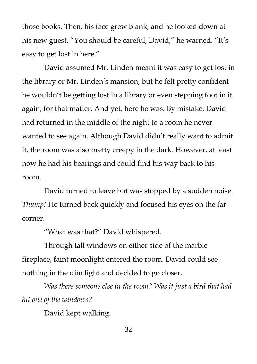those books. Then, his face grew blank, and he looked down at his new guest. "You should be careful, David," he warned. "It's easy to get lost in here."

David assumed Mr. Linden meant it was easy to get lost in the library or Mr. Linden's mansion, but he felt pretty confident he wouldn't be getting lost in a library or even stepping foot in it again, for that matter. And yet, here he was. By mistake, David had returned in the middle of the night to a room he never wanted to see again. Although David didn't really want to admit it, the room was also pretty creepy in the dark. However, at least now he had his bearings and could find his way back to his room.

David turned to leave but was stopped by a sudden noise. *Thump!* He turned back quickly and focused his eyes on the far corner.

"What was that?" David whispered.

Through tall windows on either side of the marble fireplace, faint moonlight entered the room. David could see nothing in the dim light and decided to go closer.

*Was there someone else in the room? Was it just a bird that had hit one of the windows?* 

David kept walking.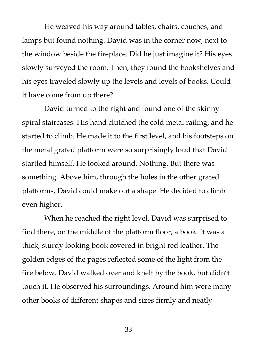He weaved his way around tables, chairs, couches, and lamps but found nothing. David was in the corner now, next to the window beside the fireplace. Did he just imagine it? His eyes slowly surveyed the room. Then, they found the bookshelves and his eyes traveled slowly up the levels and levels of books. Could it have come from up there?

David turned to the right and found one of the skinny spiral staircases. His hand clutched the cold metal railing, and he started to climb. He made it to the first level, and his footsteps on the metal grated platform were so surprisingly loud that David startled himself. He looked around. Nothing. But there was something. Above him, through the holes in the other grated platforms, David could make out a shape. He decided to climb even higher.

When he reached the right level, David was surprised to find there, on the middle of the platform floor, a book. It was a thick, sturdy looking book covered in bright red leather. The golden edges of the pages reflected some of the light from the fire below. David walked over and knelt by the book, but didn't touch it. He observed his surroundings. Around him were many other books of different shapes and sizes firmly and neatly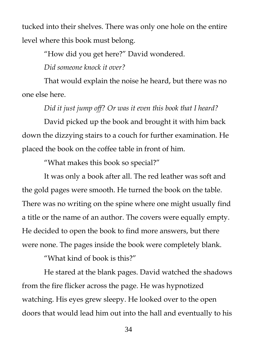tucked into their shelves. There was only one hole on the entire level where this book must belong.

"How did you get here?" David wondered.

*Did someone knock it over?*

That would explain the noise he heard, but there was no one else here.

*Did it just jump off? Or was it even this book that I heard?*

David picked up the book and brought it with him back down the dizzying stairs to a couch for further examination. He placed the book on the coffee table in front of him.

"What makes this book so special?"

It was only a book after all. The red leather was soft and the gold pages were smooth. He turned the book on the table. There was no writing on the spine where one might usually find a title or the name of an author. The covers were equally empty. He decided to open the book to find more answers, but there were none. The pages inside the book were completely blank.

"What kind of book is this?"

He stared at the blank pages. David watched the shadows from the fire flicker across the page. He was hypnotized watching. His eyes grew sleepy. He looked over to the open doors that would lead him out into the hall and eventually to his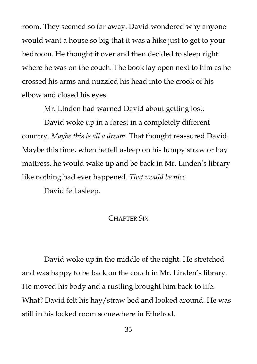room. They seemed so far away. David wondered why anyone would want a house so big that it was a hike just to get to your bedroom. He thought it over and then decided to sleep right where he was on the couch. The book lay open next to him as he crossed his arms and nuzzled his head into the crook of his elbow and closed his eyes.

Mr. Linden had warned David about getting lost.

David woke up in a forest in a completely different country. *Maybe this is all a dream.* That thought reassured David. Maybe this time, when he fell asleep on his lumpy straw or hay mattress, he would wake up and be back in Mr. Linden's library like nothing had ever happened. *That would be nice.*

David fell asleep.

# CHAPTER SIX

David woke up in the middle of the night. He stretched and was happy to be back on the couch in Mr. Linden's library. He moved his body and a rustling brought him back to life. What? David felt his hay/straw bed and looked around. He was still in his locked room somewhere in Ethelrod.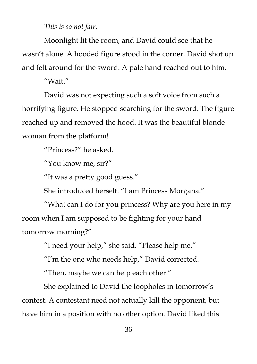*This is so not fair*.

Moonlight lit the room, and David could see that he wasn't alone. A hooded figure stood in the corner. David shot up and felt around for the sword. A pale hand reached out to him.

"Wait"

David was not expecting such a soft voice from such a horrifying figure. He stopped searching for the sword. The figure reached up and removed the hood. It was the beautiful blonde woman from the platform!

"Princess?" he asked.

"You know me, sir?"

"It was a pretty good guess."

She introduced herself. "I am Princess Morgana."

"What can I do for you princess? Why are you here in my room when I am supposed to be fighting for your hand tomorrow morning?"

"I need your help," she said. "Please help me."

"I'm the one who needs help," David corrected.

"Then, maybe we can help each other."

She explained to David the loopholes in tomorrow's contest. A contestant need not actually kill the opponent, but have him in a position with no other option. David liked this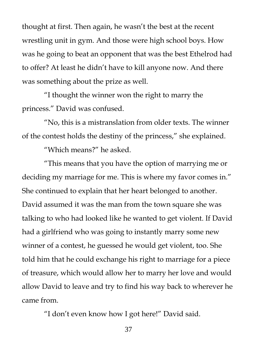thought at first. Then again, he wasn't the best at the recent wrestling unit in gym. And those were high school boys. How was he going to beat an opponent that was the best Ethelrod had to offer? At least he didn't have to kill anyone now. And there was something about the prize as well.

"I thought the winner won the right to marry the princess." David was confused.

"No, this is a mistranslation from older texts. The winner of the contest holds the destiny of the princess," she explained.

"Which means?" he asked.

"This means that you have the option of marrying me or deciding my marriage for me. This is where my favor comes in." She continued to explain that her heart belonged to another. David assumed it was the man from the town square she was talking to who had looked like he wanted to get violent. If David had a girlfriend who was going to instantly marry some new winner of a contest, he guessed he would get violent, too. She told him that he could exchange his right to marriage for a piece of treasure, which would allow her to marry her love and would allow David to leave and try to find his way back to wherever he came from.

"I don't even know how I got here!" David said.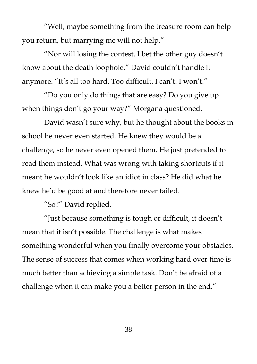"Well, maybe something from the treasure room can help you return, but marrying me will not help."

"Nor will losing the contest. I bet the other guy doesn't know about the death loophole." David couldn't handle it anymore. "It's all too hard. Too difficult. I can't. I won't."

"Do you only do things that are easy? Do you give up when things don't go your way?" Morgana questioned.

David wasn't sure why, but he thought about the books in school he never even started. He knew they would be a challenge, so he never even opened them. He just pretended to read them instead. What was wrong with taking shortcuts if it meant he wouldn't look like an idiot in class? He did what he knew he'd be good at and therefore never failed.

"So?" David replied.

"Just because something is tough or difficult, it doesn't mean that it isn't possible. The challenge is what makes something wonderful when you finally overcome your obstacles. The sense of success that comes when working hard over time is much better than achieving a simple task. Don't be afraid of a challenge when it can make you a better person in the end."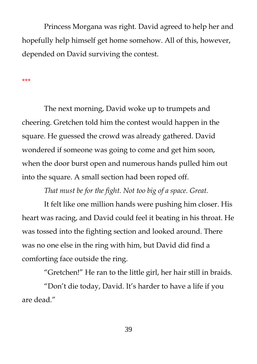Princess Morgana was right. David agreed to help her and hopefully help himself get home somehow. All of this, however, depended on David surviving the contest.

\*\*\*

The next morning, David woke up to trumpets and cheering. Gretchen told him the contest would happen in the square. He guessed the crowd was already gathered. David wondered if someone was going to come and get him soon, when the door burst open and numerous hands pulled him out into the square. A small section had been roped off.

*That must be for the fight. Not too big of a space. Great.*

It felt like one million hands were pushing him closer. His heart was racing, and David could feel it beating in his throat. He was tossed into the fighting section and looked around. There was no one else in the ring with him, but David did find a comforting face outside the ring.

"Gretchen!" He ran to the little girl, her hair still in braids. "Don't die today, David. It's harder to have a life if you are dead."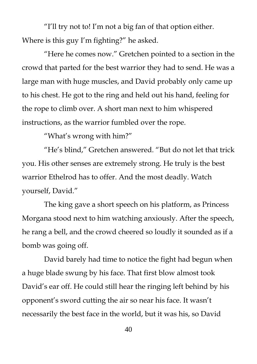"I'll try not to! I'm not a big fan of that option either. Where is this guy I'm fighting?" he asked.

"Here he comes now." Gretchen pointed to a section in the crowd that parted for the best warrior they had to send. He was a large man with huge muscles, and David probably only came up to his chest. He got to the ring and held out his hand, feeling for the rope to climb over. A short man next to him whispered instructions, as the warrior fumbled over the rope.

"What's wrong with him?"

"He's blind," Gretchen answered. "But do not let that trick you. His other senses are extremely strong. He truly is the best warrior Ethelrod has to offer. And the most deadly. Watch yourself, David."

The king gave a short speech on his platform, as Princess Morgana stood next to him watching anxiously. After the speech, he rang a bell, and the crowd cheered so loudly it sounded as if a bomb was going off.

David barely had time to notice the fight had begun when a huge blade swung by his face. That first blow almost took David's ear off. He could still hear the ringing left behind by his opponent's sword cutting the air so near his face. It wasn't necessarily the best face in the world, but it was his, so David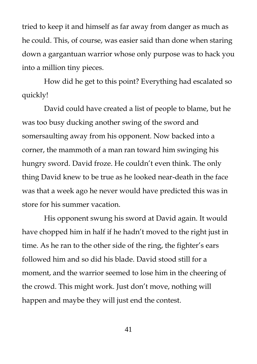tried to keep it and himself as far away from danger as much as he could. This, of course, was easier said than done when staring down a gargantuan warrior whose only purpose was to hack you into a million tiny pieces.

How did he get to this point? Everything had escalated so quickly!

David could have created a list of people to blame, but he was too busy ducking another swing of the sword and somersaulting away from his opponent. Now backed into a corner, the mammoth of a man ran toward him swinging his hungry sword. David froze. He couldn't even think. The only thing David knew to be true as he looked near-death in the face was that a week ago he never would have predicted this was in store for his summer vacation.

His opponent swung his sword at David again. It would have chopped him in half if he hadn't moved to the right just in time. As he ran to the other side of the ring, the fighter's ears followed him and so did his blade. David stood still for a moment, and the warrior seemed to lose him in the cheering of the crowd. This might work. Just don't move, nothing will happen and maybe they will just end the contest.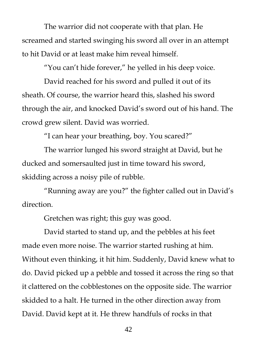The warrior did not cooperate with that plan. He screamed and started swinging his sword all over in an attempt to hit David or at least make him reveal himself.

"You can't hide forever," he yelled in his deep voice.

David reached for his sword and pulled it out of its sheath. Of course, the warrior heard this, slashed his sword through the air, and knocked David's sword out of his hand. The crowd grew silent. David was worried.

"I can hear your breathing, boy. You scared?"

The warrior lunged his sword straight at David, but he ducked and somersaulted just in time toward his sword, skidding across a noisy pile of rubble.

"Running away are you?" the fighter called out in David's direction.

Gretchen was right; this guy was good.

David started to stand up, and the pebbles at his feet made even more noise. The warrior started rushing at him. Without even thinking, it hit him. Suddenly, David knew what to do. David picked up a pebble and tossed it across the ring so that it clattered on the cobblestones on the opposite side. The warrior skidded to a halt. He turned in the other direction away from David. David kept at it. He threw handfuls of rocks in that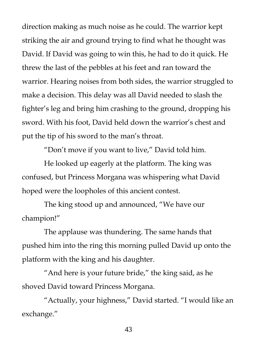direction making as much noise as he could. The warrior kept striking the air and ground trying to find what he thought was David. If David was going to win this, he had to do it quick. He threw the last of the pebbles at his feet and ran toward the warrior. Hearing noises from both sides, the warrior struggled to make a decision. This delay was all David needed to slash the fighter's leg and bring him crashing to the ground, dropping his sword. With his foot, David held down the warrior's chest and put the tip of his sword to the man's throat.

"Don't move if you want to live," David told him.

He looked up eagerly at the platform. The king was confused, but Princess Morgana was whispering what David hoped were the loopholes of this ancient contest.

The king stood up and announced, "We have our champion!"

The applause was thundering. The same hands that pushed him into the ring this morning pulled David up onto the platform with the king and his daughter.

"And here is your future bride," the king said, as he shoved David toward Princess Morgana.

"Actually, your highness," David started. "I would like an exchange."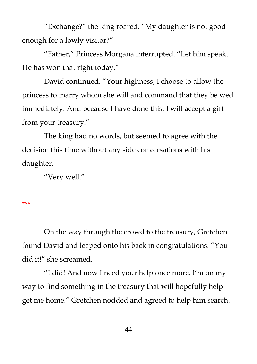"Exchange?" the king roared. "My daughter is not good enough for a lowly visitor?"

"Father," Princess Morgana interrupted. "Let him speak. He has won that right today."

David continued. "Your highness, I choose to allow the princess to marry whom she will and command that they be wed immediately. And because I have done this, I will accept a gift from your treasury."

The king had no words, but seemed to agree with the decision this time without any side conversations with his daughter.

"Very well."

#### \*\*\*

On the way through the crowd to the treasury, Gretchen found David and leaped onto his back in congratulations. "You did it!" she screamed.

"I did! And now I need your help once more. I'm on my way to find something in the treasury that will hopefully help get me home." Gretchen nodded and agreed to help him search.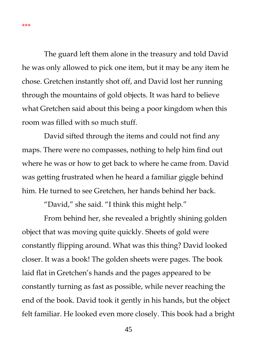\*\*\*

The guard left them alone in the treasury and told David he was only allowed to pick one item, but it may be any item he chose. Gretchen instantly shot off, and David lost her running through the mountains of gold objects. It was hard to believe what Gretchen said about this being a poor kingdom when this room was filled with so much stuff.

David sifted through the items and could not find any maps. There were no compasses, nothing to help him find out where he was or how to get back to where he came from. David was getting frustrated when he heard a familiar giggle behind him. He turned to see Gretchen, her hands behind her back.

"David," she said. "I think this might help."

From behind her, she revealed a brightly shining golden object that was moving quite quickly. Sheets of gold were constantly flipping around. What was this thing? David looked closer. It was a book! The golden sheets were pages. The book laid flat in Gretchen's hands and the pages appeared to be constantly turning as fast as possible, while never reaching the end of the book. David took it gently in his hands, but the object felt familiar. He looked even more closely. This book had a bright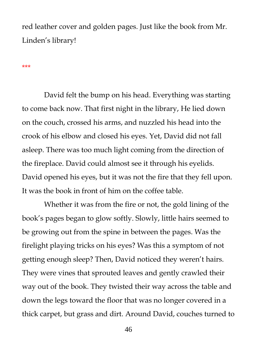red leather cover and golden pages. Just like the book from Mr. Linden's library!

\*\*\*

David felt the bump on his head. Everything was starting to come back now. That first night in the library, He lied down on the couch, crossed his arms, and nuzzled his head into the crook of his elbow and closed his eyes. Yet, David did not fall asleep. There was too much light coming from the direction of the fireplace. David could almost see it through his eyelids. David opened his eyes, but it was not the fire that they fell upon. It was the book in front of him on the coffee table.

Whether it was from the fire or not, the gold lining of the book's pages began to glow softly. Slowly, little hairs seemed to be growing out from the spine in between the pages. Was the firelight playing tricks on his eyes? Was this a symptom of not getting enough sleep? Then, David noticed they weren't hairs. They were vines that sprouted leaves and gently crawled their way out of the book. They twisted their way across the table and down the legs toward the floor that was no longer covered in a thick carpet, but grass and dirt. Around David, couches turned to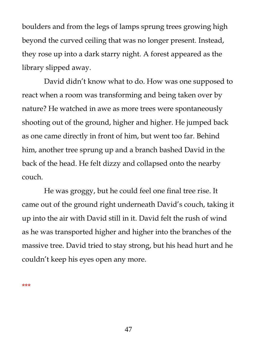boulders and from the legs of lamps sprung trees growing high beyond the curved ceiling that was no longer present. Instead, they rose up into a dark starry night. A forest appeared as the library slipped away.

David didn't know what to do. How was one supposed to react when a room was transforming and being taken over by nature? He watched in awe as more trees were spontaneously shooting out of the ground, higher and higher. He jumped back as one came directly in front of him, but went too far. Behind him, another tree sprung up and a branch bashed David in the back of the head. He felt dizzy and collapsed onto the nearby couch.

He was groggy, but he could feel one final tree rise. It came out of the ground right underneath David's couch, taking it up into the air with David still in it. David felt the rush of wind as he was transported higher and higher into the branches of the massive tree. David tried to stay strong, but his head hurt and he couldn't keep his eyes open any more.

\*\*\*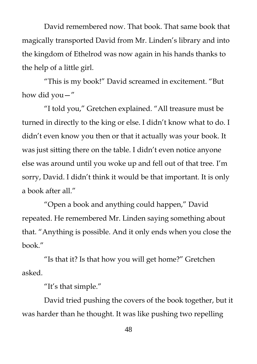David remembered now. That book. That same book that magically transported David from Mr. Linden's library and into the kingdom of Ethelrod was now again in his hands thanks to the help of a little girl.

"This is my book!" David screamed in excitement. "But how did you—"

"I told you," Gretchen explained. "All treasure must be turned in directly to the king or else. I didn't know what to do. I didn't even know you then or that it actually was your book. It was just sitting there on the table. I didn't even notice anyone else was around until you woke up and fell out of that tree. I'm sorry, David. I didn't think it would be that important. It is only a book after all."

"Open a book and anything could happen," David repeated. He remembered Mr. Linden saying something about that. "Anything is possible. And it only ends when you close the book."

"Is that it? Is that how you will get home?" Gretchen asked.

"It's that simple."

David tried pushing the covers of the book together, but it was harder than he thought. It was like pushing two repelling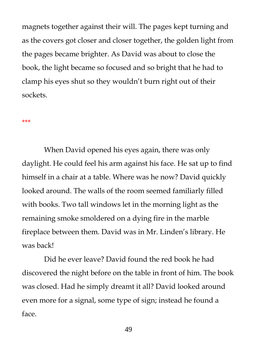magnets together against their will. The pages kept turning and as the covers got closer and closer together, the golden light from the pages became brighter. As David was about to close the book, the light became so focused and so bright that he had to clamp his eyes shut so they wouldn't burn right out of their sockets.

#### \*\*\*

When David opened his eyes again, there was only daylight. He could feel his arm against his face. He sat up to find himself in a chair at a table. Where was he now? David quickly looked around. The walls of the room seemed familiarly filled with books. Two tall windows let in the morning light as the remaining smoke smoldered on a dying fire in the marble fireplace between them. David was in Mr. Linden's library. He was back!

Did he ever leave? David found the red book he had discovered the night before on the table in front of him. The book was closed. Had he simply dreamt it all? David looked around even more for a signal, some type of sign; instead he found a face.

49